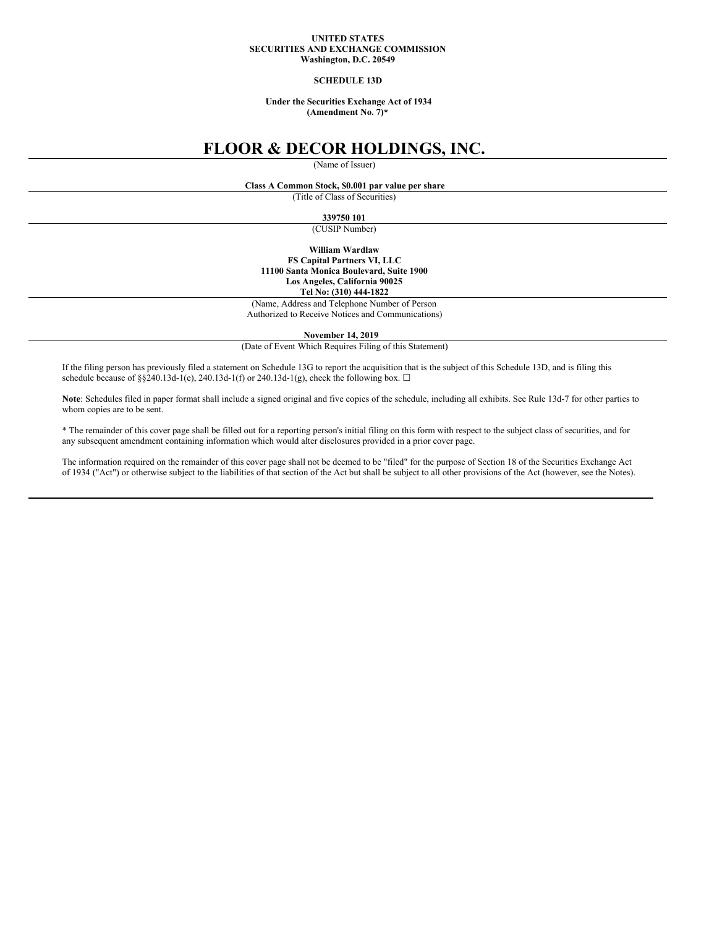### **UNITED STATES SECURITIES AND EXCHANGE COMMISSION Washington, D.C. 20549**

#### **SCHEDULE 13D**

#### **Under the Securities Exchange Act of 1934 (Amendment No. 7)\***

# **FLOOR & DECOR HOLDINGS, INC.**

(Name of Issuer)

# **Class A Common Stock, \$0.001 par value per share**

(Title of Class of Securities)

#### **339750 101**

(CUSIP Number)

**William Wardlaw FS Capital Partners VI, LLC 11100 Santa Monica Boulevard, Suite 1900 Los Angeles, California 90025 Tel No: (310) 444-1822**

(Name, Address and Telephone Number of Person

Authorized to Receive Notices and Communications)

**November 14, 2019**

(Date of Event Which Requires Filing of this Statement)

If the filing person has previously filed a statement on Schedule 13G to report the acquisition that is the subject of this Schedule 13D, and is filing this schedule because of §§240.13d-1(e), 240.13d-1(f) or 240.13d-1(g), check the following box.  $\Box$ 

**Note**: Schedules filed in paper format shall include a signed original and five copies of the schedule, including all exhibits. See Rule 13d-7 for other parties to whom copies are to be sent.

\* The remainder of this cover page shall be filled out for a reporting person's initial filing on this form with respect to the subject class of securities, and for any subsequent amendment containing information which would alter disclosures provided in a prior cover page.

The information required on the remainder of this cover page shall not be deemed to be "filed" for the purpose of Section 18 of the Securities Exchange Act of 1934 ("Act") or otherwise subject to the liabilities of that section of the Act but shall be subject to all other provisions of the Act (however, see the Notes).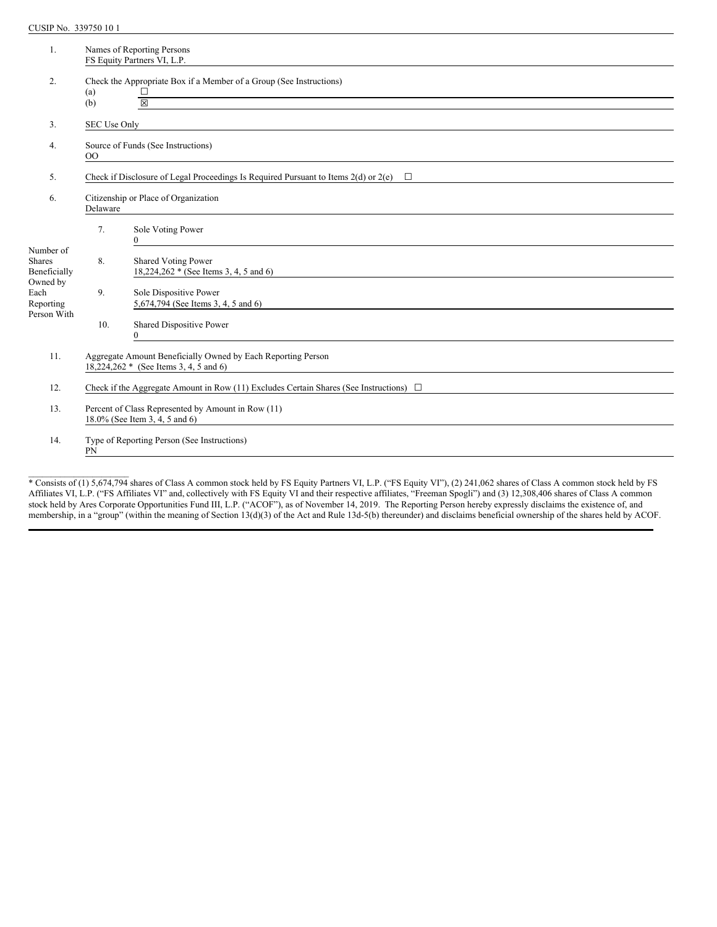CUSIP No. 339750 10 1

 $\mathcal{L}=\mathcal{L}=\mathcal{L}=\mathcal{L}=\mathcal{L}=\mathcal{L}=\mathcal{L}=\mathcal{L}=\mathcal{L}=\mathcal{L}=\mathcal{L}=\mathcal{L}=\mathcal{L}=\mathcal{L}=\mathcal{L}=\mathcal{L}=\mathcal{L}=\mathcal{L}=\mathcal{L}=\mathcal{L}=\mathcal{L}=\mathcal{L}=\mathcal{L}=\mathcal{L}=\mathcal{L}=\mathcal{L}=\mathcal{L}=\mathcal{L}=\mathcal{L}=\mathcal{L}=\mathcal{L}=\mathcal{L}=\mathcal{L}=\mathcal{L}=\mathcal{L}=\mathcal{L}=\mathcal{$ 

| 1.                                         |                                                                                                                                                                | Names of Reporting Persons<br>FS Equity Partners VI, L.P.                                                                                                                                                                 |  |  |  |
|--------------------------------------------|----------------------------------------------------------------------------------------------------------------------------------------------------------------|---------------------------------------------------------------------------------------------------------------------------------------------------------------------------------------------------------------------------|--|--|--|
| 2.                                         | (a)<br>(b)                                                                                                                                                     | Check the Appropriate Box if a Member of a Group (See Instructions)<br>$\frac{\Box}{\boxtimes}$<br><u> 1989 - Johann Stoff, deutscher Stoffen und der Stoffen und der Stoffen und der Stoffen und der Stoffen und der</u> |  |  |  |
|                                            |                                                                                                                                                                |                                                                                                                                                                                                                           |  |  |  |
| $\overline{3}$ .                           | SEC Use Only                                                                                                                                                   |                                                                                                                                                                                                                           |  |  |  |
| 4.                                         | Source of Funds (See Instructions)<br>$00\,$                                                                                                                   |                                                                                                                                                                                                                           |  |  |  |
| 5.                                         | Check if Disclosure of Legal Proceedings Is Required Pursuant to Items 2(d) or 2(e) $\Box$                                                                     |                                                                                                                                                                                                                           |  |  |  |
| 6.                                         | Citizenship or Place of Organization<br>Delaware                                                                                                               |                                                                                                                                                                                                                           |  |  |  |
|                                            | 7.                                                                                                                                                             | Sole Voting Power<br>$\theta$<br><u> 1980 - Andrea Andrew Maria (h. 1980).</u>                                                                                                                                            |  |  |  |
| Number of<br><b>Shares</b><br>Beneficially | 8.                                                                                                                                                             | <b>Shared Voting Power</b><br>18,224,262 * (See Items 3, 4, 5 and 6)                                                                                                                                                      |  |  |  |
| Owned by<br>Each<br>Reporting              | 9.                                                                                                                                                             | Sole Dispositive Power<br>5,674,794 (See Items 3, 4, 5 and 6)                                                                                                                                                             |  |  |  |
| Person With                                | 10.                                                                                                                                                            | Shared Dispositive Power<br>$\mathbf{0}$<br><u> 1989 - Andrea Barbara, política española (n. 1989).</u>                                                                                                                   |  |  |  |
| 11.                                        | Aggregate Amount Beneficially Owned by Each Reporting Person<br>18,224,262 * (See Items 3, 4, 5 and 6)<br><u> 1989 - Johann Stein, fransk politik (* 1958)</u> |                                                                                                                                                                                                                           |  |  |  |
| 12.                                        | Check if the Aggregate Amount in Row (11) Excludes Certain Shares (See Instructions) $\Box$                                                                    |                                                                                                                                                                                                                           |  |  |  |
| 13.                                        | Percent of Class Represented by Amount in Row (11)<br>18.0% (See Item 3, 4, 5 and 6)                                                                           |                                                                                                                                                                                                                           |  |  |  |
| 14.                                        | Type of Reporting Person (See Instructions)<br>PN                                                                                                              |                                                                                                                                                                                                                           |  |  |  |

\* Consists of (1) 5,674,794 shares of Class A common stock held by FS Equity Partners VI, L.P. ("FS Equity VI"), (2) 241,062 shares of Class A common stock held by FS Affiliates VI, L.P. ("FS Affiliates VI" and, collectively with FS Equity VI and their respective affiliates, "Freeman Spogli") and (3) 12,308,406 shares of Class A common stock held by Ares Corporate Opportunities Fund III, L.P. ("ACOF"), as of November 14, 2019. The Reporting Person hereby expressly disclaims the existence of, and membership, in a "group" (within the meaning of Section 13(d)(3) of the Act and Rule 13d-5(b) thereunder) and disclaims beneficial ownership of the shares held by ACOF.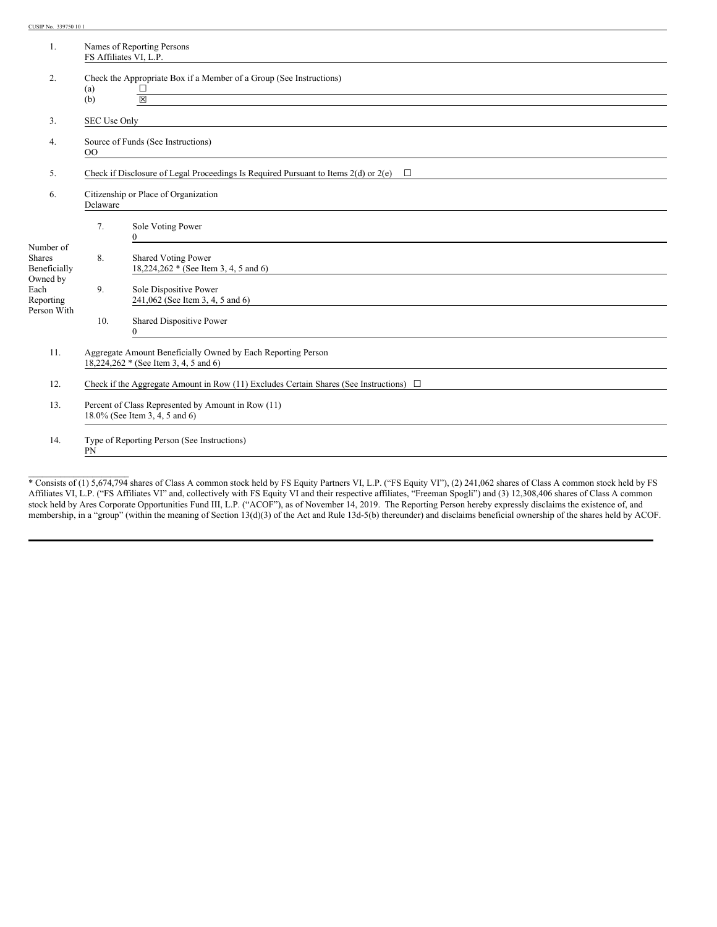CUSIP No. 339750 10 1

 $\mathcal{L}=\mathcal{L}=\mathcal{L}=\mathcal{L}=\mathcal{L}=\mathcal{L}=\mathcal{L}=\mathcal{L}=\mathcal{L}=\mathcal{L}=\mathcal{L}=\mathcal{L}=\mathcal{L}=\mathcal{L}=\mathcal{L}=\mathcal{L}=\mathcal{L}=\mathcal{L}=\mathcal{L}=\mathcal{L}=\mathcal{L}=\mathcal{L}=\mathcal{L}=\mathcal{L}=\mathcal{L}=\mathcal{L}=\mathcal{L}=\mathcal{L}=\mathcal{L}=\mathcal{L}=\mathcal{L}=\mathcal{L}=\mathcal{L}=\mathcal{L}=\mathcal{L}=\mathcal{L}=\mathcal{$ 

| 1.                                         |                                                                                                       | Names of Reporting Persons<br>FS Affiliates VI, L.P.                                                                                                         |  |  |
|--------------------------------------------|-------------------------------------------------------------------------------------------------------|--------------------------------------------------------------------------------------------------------------------------------------------------------------|--|--|
| 2.                                         | (a)<br>(b)                                                                                            | Check the Appropriate Box if a Member of a Group (See Instructions)<br>$\frac{\Box}{\boxtimes}$                                                              |  |  |
| 3.                                         | SEC Use Only                                                                                          |                                                                                                                                                              |  |  |
| 4.                                         | Source of Funds (See Instructions)<br>$00\,$                                                          |                                                                                                                                                              |  |  |
| 5.                                         | Check if Disclosure of Legal Proceedings Is Required Pursuant to Items 2(d) or 2(e)<br>$\Box$         |                                                                                                                                                              |  |  |
| 6.                                         | Citizenship or Place of Organization<br>Delaware                                                      |                                                                                                                                                              |  |  |
|                                            | 7.                                                                                                    | Sole Voting Power<br>0<br><u> 1989 - Johann Stein, fransk politik (d. 1989)</u>                                                                              |  |  |
| Number of<br><b>Shares</b><br>Beneficially | 8.                                                                                                    | <b>Shared Voting Power</b><br>18,224,262 * (See Item 3, 4, 5 and 6)                                                                                          |  |  |
| Owned by<br>Each<br>Reporting              | 9.                                                                                                    | Sole Dispositive Power<br>241,062 (See Item 3, 4, 5 and 6)                                                                                                   |  |  |
| Person With                                | 10.                                                                                                   | Shared Dispositive Power<br>$\theta$<br><u> 1980 - Johann Stein, marwolaethau a bhann an t-Amhainn an t-Amhainn an t-Amhainn an t-Amhainn an t-Amhainn a</u> |  |  |
| 11.                                        | Aggregate Amount Beneficially Owned by Each Reporting Person<br>18,224,262 * (See Item 3, 4, 5 and 6) |                                                                                                                                                              |  |  |
| 12.                                        | Check if the Aggregate Amount in Row (11) Excludes Certain Shares (See Instructions) $\Box$           |                                                                                                                                                              |  |  |
| 13.                                        | Percent of Class Represented by Amount in Row (11)<br>18.0% (See Item 3, 4, 5 and 6)                  |                                                                                                                                                              |  |  |
| 14.                                        | Type of Reporting Person (See Instructions)<br>PN                                                     |                                                                                                                                                              |  |  |

\* Consists of (1) 5,674,794 shares of Class A common stock held by FS Equity Partners VI, L.P. ("FS Equity VI"), (2) 241,062 shares of Class A common stock held by FS Affiliates VI, L.P. ("FS Affiliates VI" and, collectively with FS Equity VI and their respective affiliates, "Freeman Spogli") and (3) 12,308,406 shares of Class A common stock held by Ares Corporate Opportunities Fund III, L.P. ("ACOF"), as of November 14, 2019. The Reporting Person hereby expressly disclaims the existence of, and membership, in a "group" (within the meaning of Section 13(d)(3) of the Act and Rule 13d-5(b) thereunder) and disclaims beneficial ownership of the shares held by ACOF.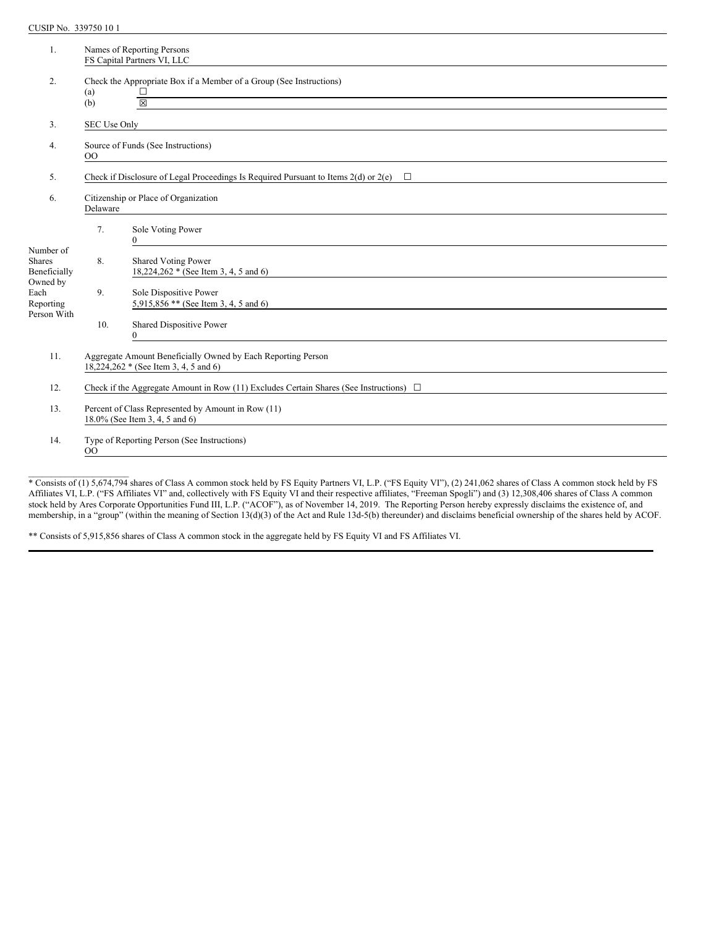CUSIP No. 339750 10 1

 $\mathcal{L}=\mathcal{L}=\mathcal{L}=\mathcal{L}=\mathcal{L}=\mathcal{L}=\mathcal{L}=\mathcal{L}=\mathcal{L}=\mathcal{L}=\mathcal{L}=\mathcal{L}=\mathcal{L}=\mathcal{L}=\mathcal{L}=\mathcal{L}=\mathcal{L}=\mathcal{L}=\mathcal{L}=\mathcal{L}=\mathcal{L}=\mathcal{L}=\mathcal{L}=\mathcal{L}=\mathcal{L}=\mathcal{L}=\mathcal{L}=\mathcal{L}=\mathcal{L}=\mathcal{L}=\mathcal{L}=\mathcal{L}=\mathcal{L}=\mathcal{L}=\mathcal{L}=\mathcal{L}=\mathcal{$ 

| 1.                                         |                                                                                                       | Names of Reporting Persons<br>FS Capital Partners VI, LLC                                                                                                                                                           |  |  |
|--------------------------------------------|-------------------------------------------------------------------------------------------------------|---------------------------------------------------------------------------------------------------------------------------------------------------------------------------------------------------------------------|--|--|
| 2.                                         | (a)<br>(b)                                                                                            | Check the Appropriate Box if a Member of a Group (See Instructions)<br>$\frac{\Box}{\boxtimes}$<br>and the control of the control of the control of the control of the control of the control of the control of the |  |  |
| 3.                                         | SEC Use Only                                                                                          |                                                                                                                                                                                                                     |  |  |
| 4.                                         | Source of Funds (See Instructions)<br>$00\,$                                                          |                                                                                                                                                                                                                     |  |  |
| 5.                                         | Check if Disclosure of Legal Proceedings Is Required Pursuant to Items $2(d)$ or $2(e)$<br>□          |                                                                                                                                                                                                                     |  |  |
| 6.                                         | Citizenship or Place of Organization<br>Delaware                                                      |                                                                                                                                                                                                                     |  |  |
|                                            | 7.                                                                                                    | Sole Voting Power<br>$\theta$<br><u> 1989 - Johann Johann Stoff, deutscher Stoffen und der Stoffen und der Stoffen und der Stoffen und der Stoffen</u>                                                              |  |  |
| Number of<br><b>Shares</b><br>Beneficially | 8.                                                                                                    | <b>Shared Voting Power</b><br>18,224,262 * (See Item 3, 4, 5 and 6)                                                                                                                                                 |  |  |
| Owned by<br>Each<br>Reporting              | 9.                                                                                                    | Sole Dispositive Power<br>5,915,85 $6$ ** (See Item 3, 4, 5 and 6)                                                                                                                                                  |  |  |
| Person With                                | 10.                                                                                                   | Shared Dispositive Power<br>$\theta$<br><u> 1989 - Jan Samuel Barbara, martin di</u>                                                                                                                                |  |  |
| 11.                                        | Aggregate Amount Beneficially Owned by Each Reporting Person<br>18,224,262 * (See Item 3, 4, 5 and 6) |                                                                                                                                                                                                                     |  |  |
| 12.                                        | Check if the Aggregate Amount in Row (11) Excludes Certain Shares (See Instructions) $\Box$           |                                                                                                                                                                                                                     |  |  |
| 13.                                        | Percent of Class Represented by Amount in Row (11)<br>$18.0\%$ (See Item 3, 4, 5 and 6)               |                                                                                                                                                                                                                     |  |  |
| 14.                                        | Type of Reporting Person (See Instructions)<br>$00\,$                                                 |                                                                                                                                                                                                                     |  |  |

\* Consists of (1) 5,674,794 shares of Class A common stock held by FS Equity Partners VI, L.P. ("FS Equity VI"), (2) 241,062 shares of Class A common stock held by FS Affiliates VI, L.P. ("FS Affiliates VI" and, collectively with FS Equity VI and their respective affiliates, "Freeman Spogli") and (3) 12,308,406 shares of Class A common stock held by Ares Corporate Opportunities Fund III, L.P. ("ACOF"), as of November 14, 2019. The Reporting Person hereby expressly disclaims the existence of, and membership, in a "group" (within the meaning of Section 13(d)(3) of the Act and Rule 13d-5(b) thereunder) and disclaims beneficial ownership of the shares held by ACOF.

\*\* Consists of 5,915,856 shares of Class A common stock in the aggregate held by FS Equity VI and FS Affiliates VI.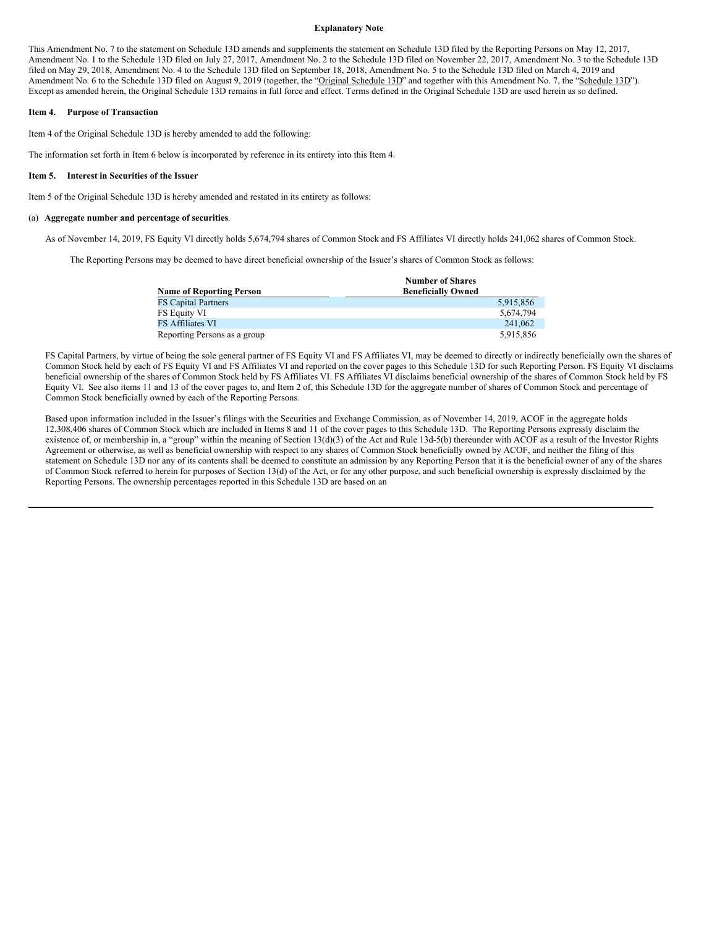#### **Explanatory Note**

This Amendment No. 7 to the statement on Schedule 13D amends and supplements the statement on Schedule 13D filed by the Reporting Persons on May 12, 2017, Amendment No. 1 to the Schedule 13D filed on July 27, 2017, Amendment No. 2 to the Schedule 13D filed on November 22, 2017, Amendment No. 3 to the Schedule 13D filed on May 29, 2018, Amendment No. 4 to the Schedule 13D filed on September 18, 2018, Amendment No. 5 to the Schedule 13D filed on March 4, 2019 and Amendment No. 6 to the Schedule 13D filed on August 9, 2019 (together, the "Original Schedule 13D" and together with this Amendment No. 7, the "Schedule 13D"). Except as amended herein, the Original Schedule 13D remains in full force and effect. Terms defined in the Original Schedule 13D are used herein as so defined.

#### **Item 4. Purpose of Transaction**

Item 4 of the Original Schedule 13D is hereby amended to add the following:

The information set forth in Item 6 below is incorporated by reference in its entirety into this Item 4.

#### **Item 5. Interest in Securities of the Issuer**

Item 5 of the Original Schedule 13D is hereby amended and restated in its entirety as follows:

#### (a) **Aggregate number and percentage of securities**.

As of November 14, 2019, FS Equity VI directly holds 5,674,794 shares of Common Stock and FS Affiliates VI directly holds 241,062 shares of Common Stock.

The Reporting Persons may be deemed to have direct beneficial ownership of the Issuer's shares of Common Stock as follows:

|                                 | <b>Number of Shares</b>   |
|---------------------------------|---------------------------|
| <b>Name of Reporting Person</b> | <b>Beneficially Owned</b> |
| <b>FS Capital Partners</b>      | 5,915,856                 |
| FS Equity VI                    | 5.674.794                 |
| FS Affiliates VI                | 241,062                   |
| Reporting Persons as a group    | 5,915,856                 |

FS Capital Partners, by virtue of being the sole general partner of FS Equity VI and FS Affiliates VI, may be deemed to directly or indirectly beneficially own the shares of Common Stock held by each of FS Equity VI and FS Affiliates VI and reported on the cover pages to this Schedule 13D for such Reporting Person. FS Equity VI disclaims beneficial ownership of the shares of Common Stock held by FS Affiliates VI. FS Affiliates VI disclaims beneficial ownership of the shares of Common Stock held by FS Equity VI. See also items 11 and 13 of the cover pages to, and Item 2 of, this Schedule 13D for the aggregate number of shares of Common Stock and percentage of Common Stock beneficially owned by each of the Reporting Persons.

Based upon information included in the Issuer's filings with the Securities and Exchange Commission, as of November 14, 2019, ACOF in the aggregate holds 12,308,406 shares of Common Stock which are included in Items 8 and 11 of the cover pages to this Schedule 13D. The Reporting Persons expressly disclaim the existence of, or membership in, a "group" within the meaning of Section 13(d)(3) of the Act and Rule 13d-5(b) thereunder with ACOF as a result of the Investor Rights Agreement or otherwise, as well as beneficial ownership with respect to any shares of Common Stock beneficially owned by ACOF, and neither the filing of this statement on Schedule 13D nor any of its contents shall be deemed to constitute an admission by any Reporting Person that it is the beneficial owner of any of the shares of Common Stock referred to herein for purposes of Section 13(d) of the Act, or for any other purpose, and such beneficial ownership is expressly disclaimed by the Reporting Persons. The ownership percentages reported in this Schedule 13D are based on an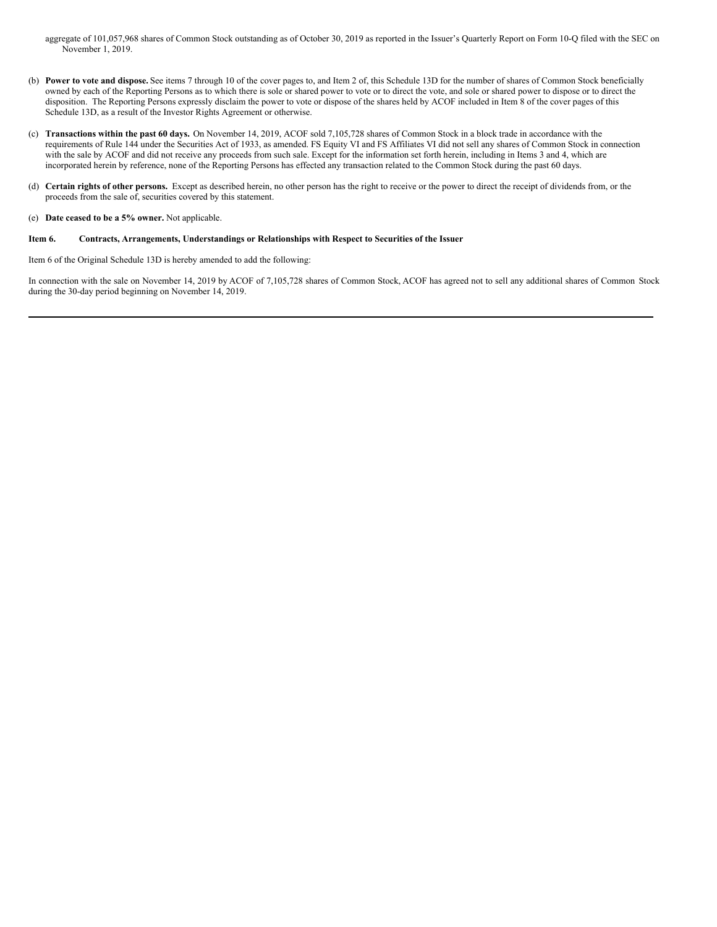aggregate of 101,057,968 shares of Common Stock outstanding as of October 30, 2019 as reported in the Issuer's Quarterly Report on Form 10-Q filed with the SEC on November 1, 2019.

- (b) **Power to vote and dispose.** See items 7 through 10 of the cover pages to, and Item 2 of, this Schedule 13D for the number of shares of Common Stock beneficially owned by each of the Reporting Persons as to which there is sole or shared power to vote or to direct the vote, and sole or shared power to dispose or to direct the disposition. The Reporting Persons expressly disclaim the power to vote or dispose of the shares held by ACOF included in Item 8 of the cover pages of this Schedule 13D, as a result of the Investor Rights Agreement or otherwise.
- (c) **Transactions within the past 60 days.** On November 14, 2019, ACOF sold 7,105,728 shares of Common Stock in a block trade in accordance with the requirements of Rule 144 under the Securities Act of 1933, as amended. FS Equity VI and FS Affiliates VI did not sell any shares of Common Stock in connection with the sale by ACOF and did not receive any proceeds from such sale. Except for the information set forth herein, including in Items 3 and 4, which are incorporated herein by reference, none of the Reporting Persons has effected any transaction related to the Common Stock during the past 60 days.
- (d) **Certain rights of other persons.** Except as described herein, no other person has the right to receive or the power to direct the receipt of dividends from, or the proceeds from the sale of, securities covered by this statement.
- (e) **Date ceased to be a 5% owner.** Not applicable.

### **Item 6. Contracts, Arrangements, Understandings or Relationships with Respect to Securities of the Issuer**

Item 6 of the Original Schedule 13D is hereby amended to add the following:

In connection with the sale on November 14, 2019 by ACOF of 7,105,728 shares of Common Stock, ACOF has agreed not to sell any additional shares of Common Stock during the 30-day period beginning on November 14, 2019.